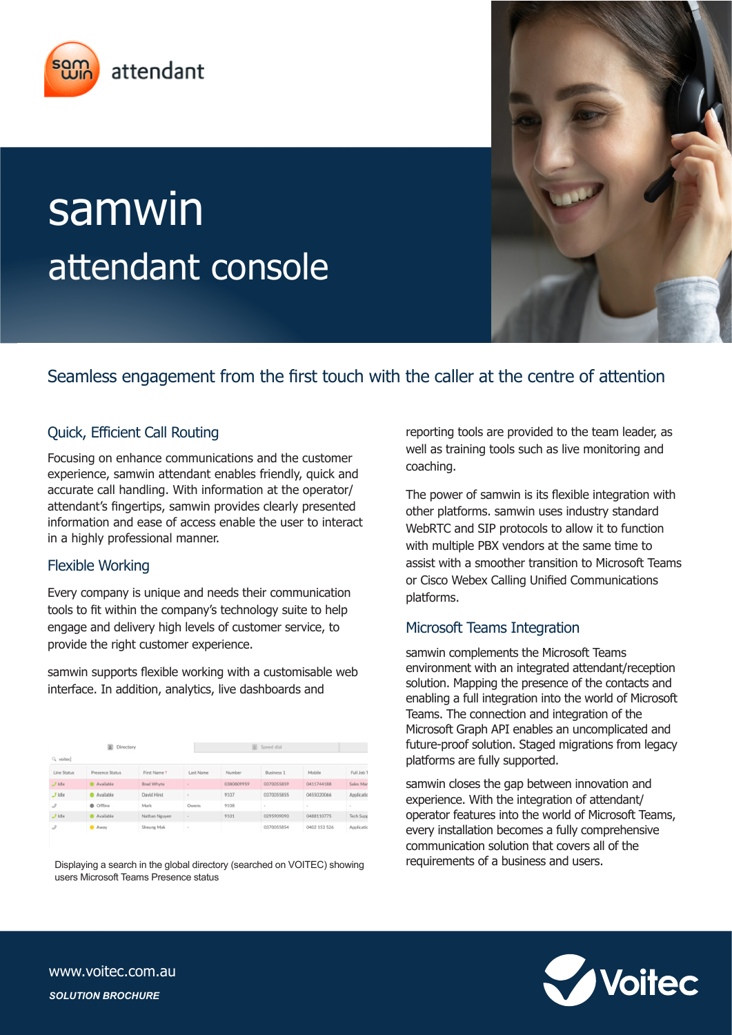

# samwin attendant console

# Seamless engagement from the first touch with the caller at the centre of attention

## Quick, Efficient Call Routing

Focusing on enhance communications and the customer experience, samwin attendant enables friendly, quick and accurate call handling. With information at the operator/ attendant's fingertips, samwin provides clearly presented information and ease of access enable the user to interact in a highly professional manner.

#### Flexible Working

Every company is unique and needs their communication tools to fit within the company's technology suite to help engage and delivery high levels of customer service, to provide the right customer experience.

samwin supports flexible working with a customisable web interface. In addition, analytics, live dashboards and

| Directory     |                 |                |           | Speed dial |            |              |                  |  |
|---------------|-----------------|----------------|-----------|------------|------------|--------------|------------------|--|
| Q volted      |                 |                |           |            |            |              |                  |  |
| Line Status   | Presence Status | First Name 1   | Last Name | Number     | Business 1 | Mobile       | Full Job T       |  |
| 7 Idio        | Mailable        | Brad Whyte     |           | 0380809959 | 0370355859 | 0411744188   | Sales Man        |  |
| $J$ idle      | · Available     | David Hirst    |           | 9107       | 0370055855 | 0455020066   | Applicatio       |  |
| $\mathcal{Z}$ | C Offine        | Mark           | Owens     | 9108       | ٠          | $\sim$       | ٠                |  |
| $J$ idie      | Available       | Nathan Nguyen. | ٠         | 9101       | 0295909090 | 0488110775   | <b>Tech Supp</b> |  |
| $\mathcal S$  | <b>B</b> Away   | Sheung Mak     | $\sim$    |            | 0370055854 | 0402 153 526 | Applicatio       |  |

Displaying a search in the global directory (searched on VOITEC) showing users Microsoft Teams Presence status

reporting tools are provided to the team leader, as well as training tools such as live monitoring and coaching.

The power of samwin is its flexible integration with other platforms. samwin uses industry standard WebRTC and SIP protocols to allow it to function with multiple PBX vendors at the same time to assist with a smoother transition to Microsoft Teams or Cisco Webex Calling Unified Communications platforms.

#### Microsoft Teams Integration

samwin complements the Microsoft Teams environment with an integrated attendant/reception solution. Mapping the presence of the contacts and enabling a full integration into the world of Microsoft Teams. The connection and integration of the Microsoft Graph API enables an uncomplicated and future-proof solution. Staged migrations from legacy platforms are fully supported.

samwin closes the gap between innovation and experience. With the integration of attendant/ operator features into the world of Microsoft Teams, every installation becomes a fully comprehensive communication solution that covers all of the requirements of a business and users.



www.voitec.com.au *SOLUTION BROCHURE*